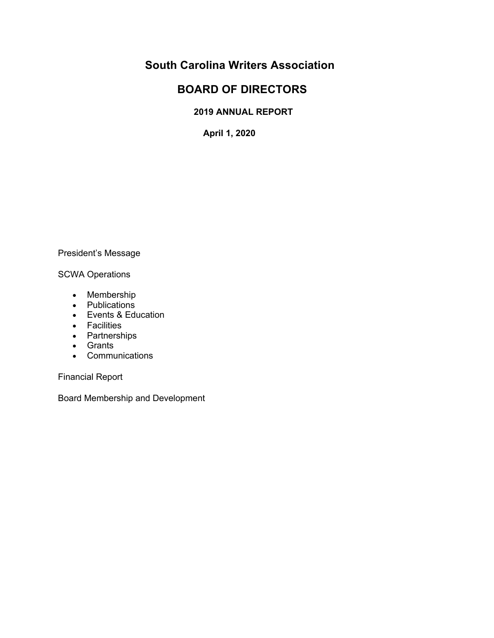# **South Carolina Writers Association**

# **BOARD OF DIRECTORS**

# **2019 ANNUAL REPORT**

**April 1, 2020**

## President's Message

## SCWA Operations

- Membership
- Publications
- Events & Education
- Facilities
- Partnerships
- Grants
- Communications

Financial Report

Board Membership and Development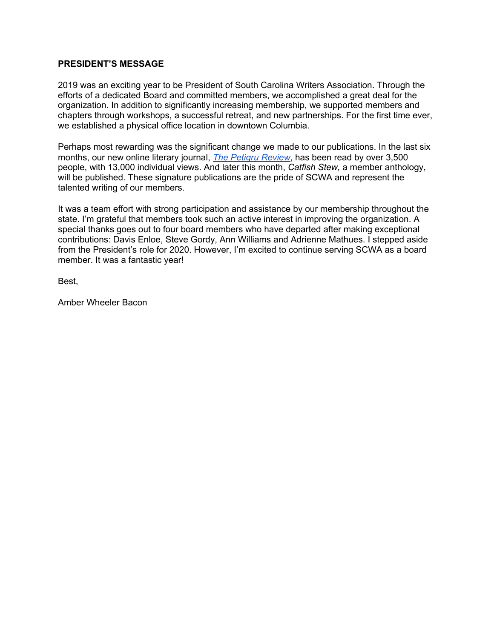### **PRESIDENT'S MESSAGE**

2019 was an exciting year to be President of South Carolina Writers Association. Through the efforts of a dedicated Board and committed members, we accomplished a great deal for the organization. In addition to significantly increasing membership, we supported members and chapters through workshops, a successful retreat, and new partnerships. For the first time ever, we established a physical office location in downtown Columbia.

Perhaps most rewarding was the significant change we made to our publications. In the last six months, our new online literary journal, *The Petigru Review*, has been read by over 3,500 people, with 13,000 individual views. And later this month, *Catfish Stew,* a member anthology, will be published. These signature publications are the pride of SCWA and represent the talented writing of our members.

It was a team effort with strong participation and assistance by our membership throughout the state. I'm grateful that members took such an active interest in improving the organization. A special thanks goes out to four board members who have departed after making exceptional contributions: Davis Enloe, Steve Gordy, Ann Williams and Adrienne Mathues. I stepped aside from the President's role for 2020. However, I'm excited to continue serving SCWA as a board member. It was a fantastic year!

Best,

Amber Wheeler Bacon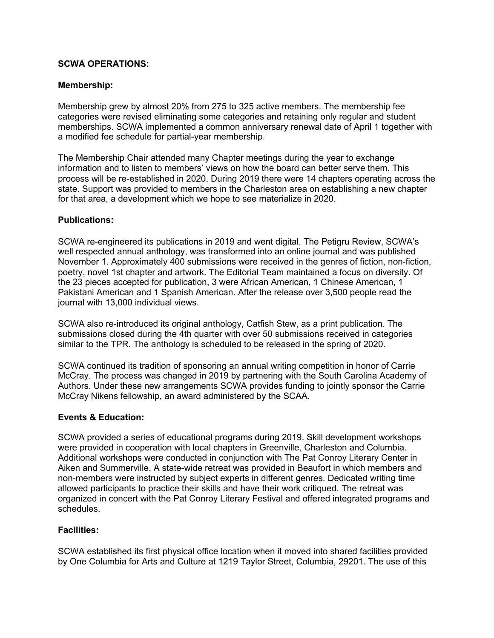### **SCWA OPERATIONS:**

### **Membership:**

Membership grew by almost 20% from 275 to 325 active members. The membership fee categories were revised eliminating some categories and retaining only regular and student memberships. SCWA implemented a common anniversary renewal date of April 1 together with a modified fee schedule for partial-year membership.

The Membership Chair attended many Chapter meetings during the year to exchange information and to listen to members' views on how the board can better serve them. This process will be re-established in 2020. During 2019 there were 14 chapters operating across the state. Support was provided to members in the Charleston area on establishing a new chapter for that area, a development which we hope to see materialize in 2020.

### **Publications:**

SCWA re-engineered its publications in 2019 and went digital. The Petigru Review, SCWA's well respected annual anthology, was transformed into an online journal and was published November 1. Approximately 400 submissions were received in the genres of fiction, non-fiction, poetry, novel 1st chapter and artwork. The Editorial Team maintained a focus on diversity. Of the 23 pieces accepted for publication, 3 were African American, 1 Chinese American, 1 Pakistani American and 1 Spanish American. After the release over 3,500 people read the journal with 13,000 individual views.

SCWA also re-introduced its original anthology, Catfish Stew, as a print publication. The submissions closed during the 4th quarter with over 50 submissions received in categories similar to the TPR. The anthology is scheduled to be released in the spring of 2020.

SCWA continued its tradition of sponsoring an annual writing competition in honor of Carrie McCray. The process was changed in 2019 by partnering with the South Carolina Academy of Authors. Under these new arrangements SCWA provides funding to jointly sponsor the Carrie McCray Nikens fellowship, an award administered by the SCAA.

#### **Events & Education:**

SCWA provided a series of educational programs during 2019. Skill development workshops were provided in cooperation with local chapters in Greenville, Charleston and Columbia. Additional workshops were conducted in conjunction with The Pat Conroy Literary Center in Aiken and Summerville. A state-wide retreat was provided in Beaufort in which members and non-members were instructed by subject experts in different genres. Dedicated writing time allowed participants to practice their skills and have their work critiqued. The retreat was organized in concert with the Pat Conroy Literary Festival and offered integrated programs and schedules.

## **Facilities:**

SCWA established its first physical office location when it moved into shared facilities provided by One Columbia for Arts and Culture at 1219 Taylor Street, Columbia, 29201. The use of this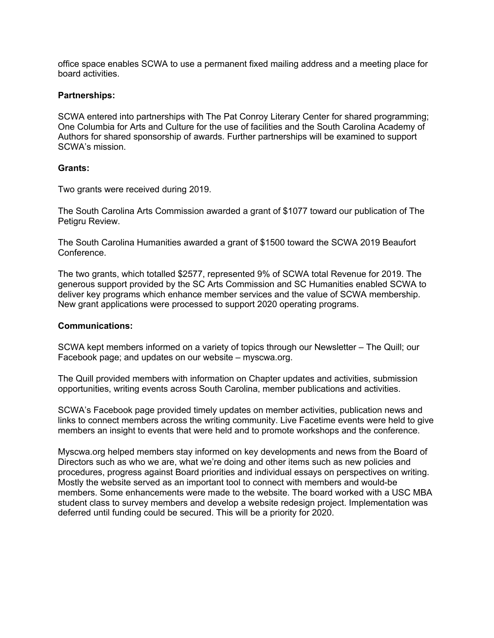office space enables SCWA to use a permanent fixed mailing address and a meeting place for board activities.

#### **Partnerships:**

SCWA entered into partnerships with The Pat Conroy Literary Center for shared programming; One Columbia for Arts and Culture for the use of facilities and the South Carolina Academy of Authors for shared sponsorship of awards. Further partnerships will be examined to support SCWA's mission.

#### **Grants:**

Two grants were received during 2019.

The South Carolina Arts Commission awarded a grant of \$1077 toward our publication of The Petigru Review.

The South Carolina Humanities awarded a grant of \$1500 toward the SCWA 2019 Beaufort Conference.

The two grants, which totalled \$2577, represented 9% of SCWA total Revenue for 2019. The generous support provided by the SC Arts Commission and SC Humanities enabled SCWA to deliver key programs which enhance member services and the value of SCWA membership. New grant applications were processed to support 2020 operating programs.

#### **Communications:**

SCWA kept members informed on a variety of topics through our Newsletter – The Quill; our Facebook page; and updates on our website – myscwa.org.

The Quill provided members with information on Chapter updates and activities, submission opportunities, writing events across South Carolina, member publications and activities.

SCWA's Facebook page provided timely updates on member activities, publication news and links to connect members across the writing community. Live Facetime events were held to give members an insight to events that were held and to promote workshops and the conference.

Myscwa.org helped members stay informed on key developments and news from the Board of Directors such as who we are, what we're doing and other items such as new policies and procedures, progress against Board priorities and individual essays on perspectives on writing. Mostly the website served as an important tool to connect with members and would-be members. Some enhancements were made to the website. The board worked with a USC MBA student class to survey members and develop a website redesign project. Implementation was deferred until funding could be secured. This will be a priority for 2020.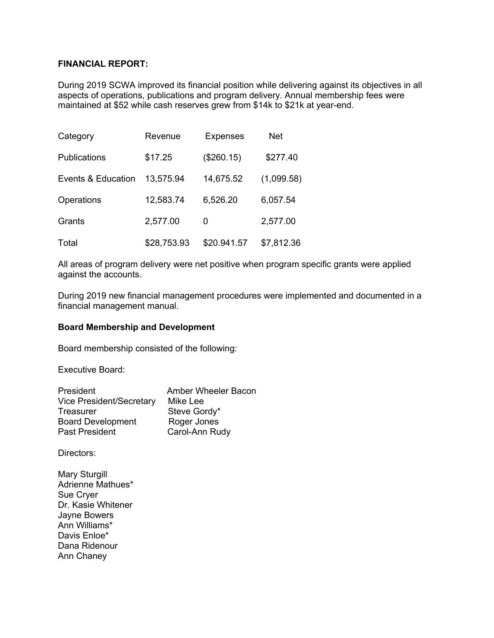### **FINANCIAL REPORT:**

During 2019 SCWA improved its financial position while delivering against its objectives in all aspects of operations, publications and program delivery. Annual membership fees were maintained at \$52 while cash reserves grew from \$14k to \$21k at year-end.

| Category            | Revenue     | <b>Expenses</b> | <b>Net</b> |
|---------------------|-------------|-----------------|------------|
| <b>Publications</b> | \$17.25     | (\$260.15)      | \$277.40   |
| Events & Education  | 13,575.94   | 14,675.52       | (1,099.58) |
| Operations          | 12,583.74   | 6,526.20        | 6,057.54   |
| Grants              | 2,577.00    | 0               | 2,577.00   |
| Total               | \$28,753.93 | \$20.941.57     | \$7,812.36 |

All areas of program delivery were net positive when program specific grants were applied against the accounts.

During 2019 new financial management procedures were implemented and documented in a financial management manual.

#### **Board Membership and Development**

Board membership consisted of the following:

Executive Board:

| President                       | Amber Wheeler Bacon |
|---------------------------------|---------------------|
| <b>Vice President/Secretary</b> | Mike Lee            |
| Treasurer                       | Steve Gordy*        |
| <b>Board Development</b>        | Roger Jones         |
| Past President                  | Carol-Ann Rudy      |

Directors:

Mary Sturgill Adrienne Mathues\* Sue Cryer Dr. Kasie Whitener Jayne Bowers Ann Williams\* Davis Enloe\* Dana Ridenour Ann Chaney